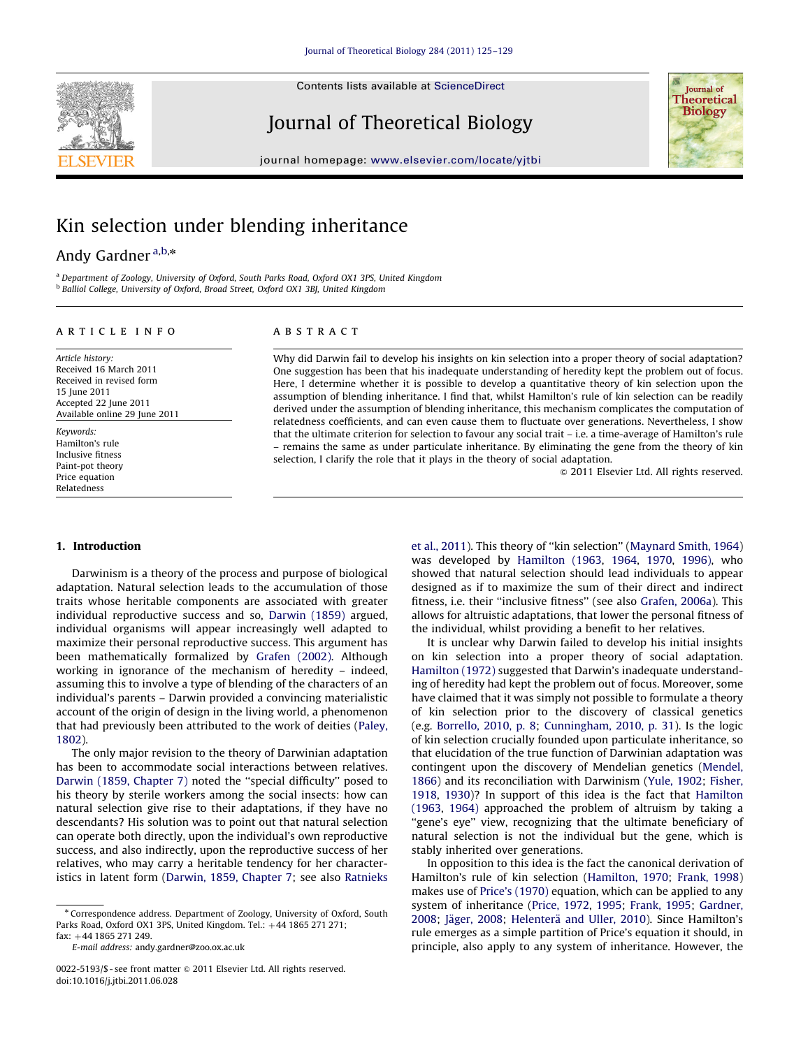Contents lists available at ScienceDirect



Journal of Theoretical Biology



journal homepage: <www.elsevier.com/locate/yjtbi>

# Kin selection under blending inheritance

# Andy Gardner<sup>a,b,\*</sup>

a Department of Zoology, University of Oxford, South Parks Road, Oxford OX1 3PS, United Kingdom <sup>b</sup> Balliol College, University of Oxford, Broad Street, Oxford OX1 3BJ, United Kingdom

#### article info

Article history: Received 16 March 2011 Received in revised form 15 June 2011 Accepted 22 June 2011 Available online 29 June 2011

Keywords: Hamilton's rule Inclusive fitness Paint-pot theory Price equation Relatedness

# ABSTRACT

Why did Darwin fail to develop his insights on kin selection into a proper theory of social adaptation? One suggestion has been that his inadequate understanding of heredity kept the problem out of focus. Here, I determine whether it is possible to develop a quantitative theory of kin selection upon the assumption of blending inheritance. I find that, whilst Hamilton's rule of kin selection can be readily derived under the assumption of blending inheritance, this mechanism complicates the computation of relatedness coefficients, and can even cause them to fluctuate over generations. Nevertheless, I show that the ultimate criterion for selection to favour any social trait – i.e. a time-average of Hamilton's rule – remains the same as under particulate inheritance. By eliminating the gene from the theory of kin selection, I clarify the role that it plays in the theory of social adaptation.

 $@$  2011 Elsevier Ltd. All rights reserved.

#### 1. Introduction

Darwinism is a theory of the process and purpose of biological adaptation. Natural selection leads to the accumulation of those traits whose heritable components are associated with greater individual reproductive success and so, [Darwin \(1859\)](#page-4-0) argued, individual organisms will appear increasingly well adapted to maximize their personal reproductive success. This argument has been mathematically formalized by [Grafen \(2002\).](#page-4-0) Although working in ignorance of the mechanism of heredity – indeed, assuming this to involve a type of blending of the characters of an individual's parents – Darwin provided a convincing materialistic account of the origin of design in the living world, a phenomenon that had previously been attributed to the work of deities [\(Paley,](#page-4-0) [1802\)](#page-4-0).

The only major revision to the theory of Darwinian adaptation has been to accommodate social interactions between relatives. [Darwin \(1859, Chapter 7\)](#page-4-0) noted the ''special difficulty'' posed to his theory by sterile workers among the social insects: how can natural selection give rise to their adaptations, if they have no descendants? His solution was to point out that natural selection can operate both directly, upon the individual's own reproductive success, and also indirectly, upon the reproductive success of her relatives, who may carry a heritable tendency for her characteristics in latent form ([Darwin, 1859, Chapter 7](#page-4-0); see also [Ratnieks](#page-4-0) [et al., 2011](#page-4-0)). This theory of ''kin selection'' [\(Maynard Smith, 1964\)](#page-4-0) was developed by [Hamilton \(1963,](#page-4-0) [1964](#page-4-0), [1970,](#page-4-0) [1996\)](#page-4-0), who showed that natural selection should lead individuals to appear designed as if to maximize the sum of their direct and indirect fitness, i.e. their ''inclusive fitness'' (see also [Grafen, 2006a\)](#page-4-0). This allows for altruistic adaptations, that lower the personal fitness of the individual, whilst providing a benefit to her relatives.

It is unclear why Darwin failed to develop his initial insights on kin selection into a proper theory of social adaptation. [Hamilton \(1972\)](#page-4-0) suggested that Darwin's inadequate understanding of heredity had kept the problem out of focus. Moreover, some have claimed that it was simply not possible to formulate a theory of kin selection prior to the discovery of classical genetics (e.g. [Borrello, 2010, p. 8;](#page-4-0) [Cunningham, 2010, p. 31\)](#page-4-0). Is the logic of kin selection crucially founded upon particulate inheritance, so that elucidation of the true function of Darwinian adaptation was contingent upon the discovery of Mendelian genetics ([Mendel,](#page-4-0) [1866\)](#page-4-0) and its reconciliation with Darwinism ([Yule, 1902;](#page-4-0) [Fisher,](#page-4-0) [1918,](#page-4-0) [1930\)](#page-4-0)? In support of this idea is the fact that [Hamilton](#page-4-0) [\(1963,](#page-4-0) [1964\)](#page-4-0) approached the problem of altruism by taking a "gene's eye" view, recognizing that the ultimate beneficiary of natural selection is not the individual but the gene, which is stably inherited over generations.

In opposition to this idea is the fact the canonical derivation of Hamilton's rule of kin selection ([Hamilton, 1970;](#page-4-0) [Frank, 1998\)](#page-4-0) makes use of [Price's \(1970\)](#page-4-0) equation, which can be applied to any system of inheritance ([Price, 1972](#page-4-0), [1995;](#page-4-0) [Frank, 1995](#page-4-0); [Gardner,](#page-4-0) [2008;](#page-4-0) Jäger, 2008; [Helenter](#page-4-0)ä [and Uller, 2010](#page-4-0)). Since Hamilton's rule emerges as a simple partition of Price's equation it should, in principle, also apply to any system of inheritance. However, the

<sup>n</sup> Correspondence address. Department of Zoology, University of Oxford, South Parks Road, Oxford OX1 3PS, United Kingdom. Tel.: +44 1865 271 271; fax: +44 1865 271 249.

E-mail address: [andy.gardner@zoo.ox.ac.uk](mailto:andy.gardner@zoo.ox.ac.uk)

<sup>0022-5193/\$ -</sup> see front matter  $\circ$  2011 Elsevier Ltd. All rights reserved. doi:[10.1016/j.jtbi.2011.06.028](dx.doi.org/10.1016/j.jtbi.2011.06.028)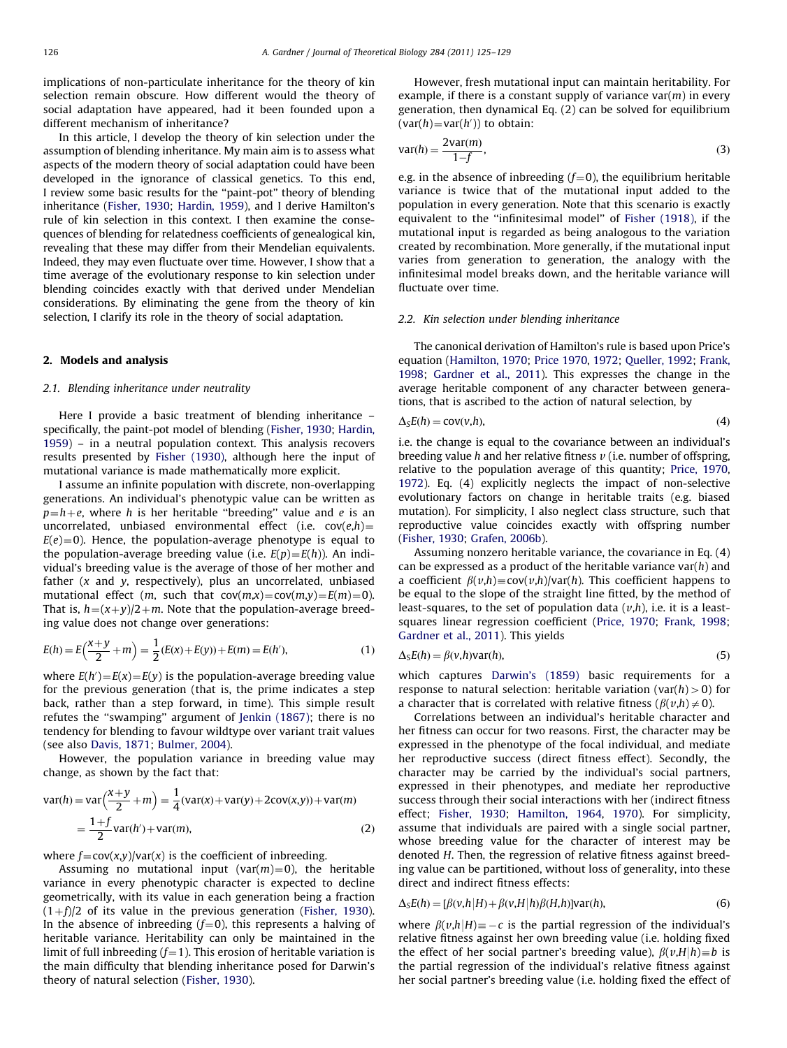implications of non-particulate inheritance for the theory of kin selection remain obscure. How different would the theory of social adaptation have appeared, had it been founded upon a different mechanism of inheritance?

In this article, I develop the theory of kin selection under the assumption of blending inheritance. My main aim is to assess what aspects of the modern theory of social adaptation could have been developed in the ignorance of classical genetics. To this end, I review some basic results for the ''paint-pot'' theory of blending inheritance ([Fisher, 1930](#page-4-0); [Hardin, 1959\)](#page-4-0), and I derive Hamilton's rule of kin selection in this context. I then examine the consequences of blending for relatedness coefficients of genealogical kin, revealing that these may differ from their Mendelian equivalents. Indeed, they may even fluctuate over time. However, I show that a time average of the evolutionary response to kin selection under blending coincides exactly with that derived under Mendelian considerations. By eliminating the gene from the theory of kin selection, I clarify its role in the theory of social adaptation.

#### 2. Models and analysis

#### 2.1. Blending inheritance under neutrality

Here I provide a basic treatment of blending inheritance – specifically, the paint-pot model of blending [\(Fisher, 1930;](#page-4-0) [Hardin,](#page-4-0) [1959\)](#page-4-0) – in a neutral population context. This analysis recovers results presented by [Fisher \(1930\),](#page-4-0) although here the input of mutational variance is made mathematically more explicit.

I assume an infinite population with discrete, non-overlapping generations. An individual's phenotypic value can be written as  $p=h+e$ , where h is her heritable "breeding" value and e is an uncorrelated, unbiased environmental effect (i.e.  $cov(e,h)$  =  $E(e)=0$ ). Hence, the population-average phenotype is equal to the population-average breeding value (i.e.  $E(p)=E(h)$ ). An individual's breeding value is the average of those of her mother and father (x and y, respectively), plus an uncorrelated, unbiased mutational effect (*m*, such that  $cov(m,x) = cov(m,y) = E(m) = 0$ ). That is,  $h=(x+y)/2+m$ . Note that the population-average breeding value does not change over generations:

$$
E(h) = E\left(\frac{x+y}{2} + m\right) = \frac{1}{2}(E(x) + E(y)) + E(m) = E(h'),\tag{1}
$$

where  $E(h') = E(x) = E(y)$  is the population-average breeding value for the previous generation (that is, the prime indicates a step back, rather than a step forward, in time). This simple result refutes the "swamping" argument of [Jenkin \(1867\)](#page-4-0); there is no tendency for blending to favour wildtype over variant trait values (see also [Davis, 1871;](#page-4-0) [Bulmer, 2004](#page-4-0)).

However, the population variance in breeding value may change, as shown by the fact that:

$$
var(h) = var\left(\frac{x+y}{2} + m\right) = \frac{1}{4}(var(x) + var(y) + 2cov(x, y)) + var(m)
$$
  
=  $\frac{1+f}{2}var(h') + var(m),$  (2)

where  $f = cov(x,y)/var(x)$  is the coefficient of inbreeding.

Assuming no mutational input (var $(m)=0$ ), the heritable variance in every phenotypic character is expected to decline geometrically, with its value in each generation being a fraction  $(1+f)/2$  of its value in the previous generation [\(Fisher, 1930\)](#page-4-0). In the absence of inbreeding  $(f=0)$ , this represents a halving of heritable variance. Heritability can only be maintained in the limit of full inbreeding  $(f=1)$ . This erosion of heritable variation is the main difficulty that blending inheritance posed for Darwin's theory of natural selection [\(Fisher, 1930](#page-4-0)).

However, fresh mutational input can maintain heritability. For example, if there is a constant supply of variance var $(m)$  in every generation, then dynamical Eq. (2) can be solved for equilibrium  $\text{(var}(h) = \text{var}(h'))$  to obtain:

$$
var(h) = \frac{2var(m)}{1 - f},
$$
\n(3)

e.g. in the absence of inbreeding  $(f=0)$ , the equilibrium heritable variance is twice that of the mutational input added to the population in every generation. Note that this scenario is exactly equivalent to the ''infinitesimal model'' of [Fisher \(1918\)](#page-4-0), if the mutational input is regarded as being analogous to the variation created by recombination. More generally, if the mutational input varies from generation to generation, the analogy with the infinitesimal model breaks down, and the heritable variance will fluctuate over time.

#### 2.2. Kin selection under blending inheritance

The canonical derivation of Hamilton's rule is based upon Price's equation [\(Hamilton, 1970](#page-4-0); [Price 1970,](#page-4-0) [1972](#page-4-0); [Queller, 1992](#page-4-0); [Frank,](#page-4-0) [1998;](#page-4-0) [Gardner et al., 2011](#page-4-0)). This expresses the change in the average heritable component of any character between generations, that is ascribed to the action of natural selection, by

$$
\Delta_{\mathcal{S}}E(h) = \text{cov}(\mathbf{v}, h),\tag{4}
$$

i.e. the change is equal to the covariance between an individual's breeding value h and her relative fitness  $\nu$  (i.e. number of offspring, relative to the population average of this quantity; [Price, 1970,](#page-4-0) [1972\)](#page-4-0). Eq. (4) explicitly neglects the impact of non-selective evolutionary factors on change in heritable traits (e.g. biased mutation). For simplicity, I also neglect class structure, such that reproductive value coincides exactly with offspring number ([Fisher, 1930;](#page-4-0) [Grafen, 2006b\)](#page-4-0).

Assuming nonzero heritable variance, the covariance in Eq. (4) can be expressed as a product of the heritable variance var $(h)$  and a coefficient  $\beta(v,h)=cov(v,h)/var(h)$ . This coefficient happens to be equal to the slope of the straight line fitted, by the method of least-squares, to the set of population data  $(v,h)$ , i.e. it is a leastsquares linear regression coefficient ([Price, 1970;](#page-4-0) [Frank, 1998;](#page-4-0) [Gardner et al., 2011\)](#page-4-0). This yields

$$
\Delta_{\mathcal{S}}E(h) = \beta(v, h) \text{var}(h),\tag{5}
$$

which captures [Darwin's \(1859\)](#page-4-0) basic requirements for a response to natural selection: heritable variation (var( $h$ ) > 0) for a character that is correlated with relative fitness ( $\beta(v,h)\neq0$ ).

Correlations between an individual's heritable character and her fitness can occur for two reasons. First, the character may be expressed in the phenotype of the focal individual, and mediate her reproductive success (direct fitness effect). Secondly, the character may be carried by the individual's social partners, expressed in their phenotypes, and mediate her reproductive success through their social interactions with her (indirect fitness effect; [Fisher, 1930;](#page-4-0) [Hamilton, 1964,](#page-4-0) [1970\)](#page-4-0). For simplicity, assume that individuals are paired with a single social partner, whose breeding value for the character of interest may be denoted H. Then, the regression of relative fitness against breeding value can be partitioned, without loss of generality, into these direct and indirect fitness effects:

$$
\Delta_{S}E(h) = [\beta(v, h|H) + \beta(v, H|h)\beta(H, h)]var(h),
$$
\n(6)

where  $\beta(v,h|H) \equiv -c$  is the partial regression of the individual's<br>relative fitness against her own breeding value (i.e. bolding fixed relative fitness against her own breeding value (i.e. holding fixed the effect of her social partner's breeding value),  $\beta(v,H|h) \equiv b$  is the partial regression of the individual's relative fitness against her social partner's breeding value (i.e. holding fixed the effect of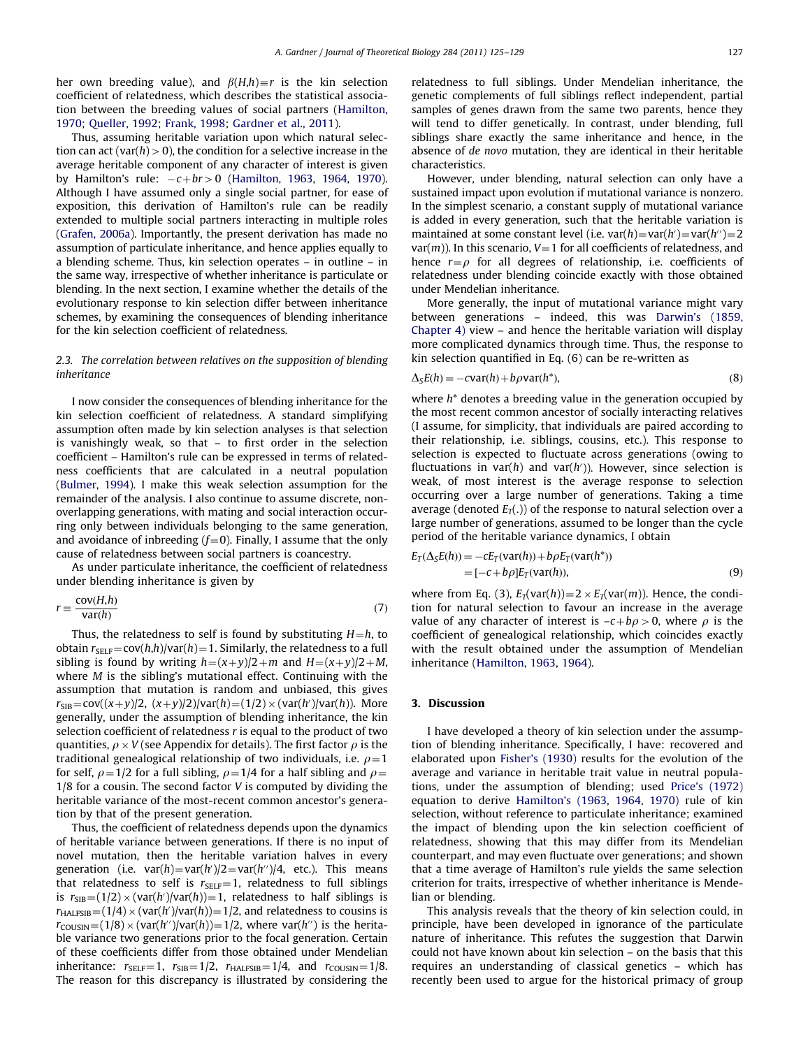her own breeding value), and  $\beta(H,h)=r$  is the kin selection coefficient of relatedness, which describes the statistical association between the breeding values of social partners ([Hamilton,](#page-4-0) [1970;](#page-4-0) [Queller, 1992](#page-4-0); [Frank, 1998;](#page-4-0) [Gardner et al., 2011](#page-4-0)).

Thus, assuming heritable variation upon which natural selection can act (var(h)  $>$  0), the condition for a selective increase in the average heritable component of any character of interest is given by Hamilton's rule: —c+*br*>0 ([Hamilton, 1963,](#page-4-0) [1964,](#page-4-0) [1970\)](#page-4-0). Although I have assumed only a single social partner, for ease of exposition, this derivation of Hamilton's rule can be readily extended to multiple social partners interacting in multiple roles ([Grafen, 2006a\)](#page-4-0). Importantly, the present derivation has made no assumption of particulate inheritance, and hence applies equally to a blending scheme. Thus, kin selection operates – in outline – in the same way, irrespective of whether inheritance is particulate or blending. In the next section, I examine whether the details of the evolutionary response to kin selection differ between inheritance schemes, by examining the consequences of blending inheritance for the kin selection coefficient of relatedness.

# 2.3. The correlation between relatives on the supposition of blending inheritance

I now consider the consequences of blending inheritance for the kin selection coefficient of relatedness. A standard simplifying assumption often made by kin selection analyses is that selection is vanishingly weak, so that – to first order in the selection coefficient – Hamilton's rule can be expressed in terms of relatedness coefficients that are calculated in a neutral population ([Bulmer, 1994\)](#page-4-0). I make this weak selection assumption for the remainder of the analysis. I also continue to assume discrete, nonoverlapping generations, with mating and social interaction occurring only between individuals belonging to the same generation, and avoidance of inbreeding  $(f=0)$ . Finally, I assume that the only cause of relatedness between social partners is coancestry.

As under particulate inheritance, the coefficient of relatedness under blending inheritance is given by

$$
r \equiv \frac{\text{cov}(H, h)}{\text{var}(h)}\tag{7}
$$

Thus, the relatedness to self is found by substituting  $H=h$ , to obtain  $r_{\text{SELF}} = \text{cov}(h,h)/\text{var}(h) = 1$ . Similarly, the relatedness to a full sibling is found by writing  $h=(x+y)/2+m$  and  $H=(x+y)/2+M$ , where *M* is the sibling's mutational effect. Continuing with the assumption that mutation is random and unbiased, this gives  $r_{\text{SIB}} = \text{cov}((x+y)/2, (x+y)/2)/\text{var}(h) = (1/2) \times (\text{var}(h'))\text{var}(h)$ ). More generally, under the assumption of blending inheritance, the kin selection coefficient of relatedness  $r$  is equal to the product of two quantities,  $\rho \times V$  (see Appendix for details). The first factor  $\rho$  is the traditional genealogical relationship of two individuals, i.e.  $\rho = 1$ for self,  $\rho = 1/2$  for a full sibling,  $\rho = 1/4$  for a half sibling and  $\rho =$  $1/8$  for a cousin. The second factor *V* is computed by dividing the heritable variance of the most-recent common ancestor's generation by that of the present generation.

Thus, the coefficient of relatedness depends upon the dynamics of heritable variance between generations. If there is no input of novel mutation, then the heritable variation halves in every generation (i.e.  $var(h)=var(h')/2=var(h'')/4$ , etc.). This means that relatedness to self is  $r_{\text{SEIF}}=1$ , relatedness to full siblings is  $r_{\text{SIB}} = (1/2) \times (\text{var}(h'))\text{var}(h)) = 1$ , relatedness to half siblings is  $r_{\rm HALFSIB}\!=\!(1/4)\!\times\!(\text{var}(h')\!/\text{var}(h)\!)\!=\!1/2$ , and relatedness to cousins is  $r_{\text{COUSIN}}=(1/8) \times (\text{var}(h^{\prime\prime})/\text{var}(h))=1/2$ , where var $(h^{\prime\prime})$  is the heritable variance two generations prior to the focal generation. Certain of these coefficients differ from those obtained under Mendelian inheritance:  $r_{\text{SELF}}=1$ ,  $r_{\text{SIB}}=1/2$ ,  $r_{\text{HALFSIB}}=1/4$ , and  $r_{\text{COUSIN}}=1/8$ . The reason for this discrepancy is illustrated by considering the

relatedness to full siblings. Under Mendelian inheritance, the genetic complements of full siblings reflect independent, partial samples of genes drawn from the same two parents, hence they will tend to differ genetically. In contrast, under blending, full siblings share exactly the same inheritance and hence, in the absence of de novo mutation, they are identical in their heritable characteristics.

However, under blending, natural selection can only have a sustained impact upon evolution if mutational variance is nonzero. In the simplest scenario, a constant supply of mutational variance is added in every generation, such that the heritable variation is maintained at some constant level (i.e.  $var(h) = var(h') = var(h'') = 2$ var( $m$ )). In this scenario,  $V=1$  for all coefficients of relatedness, and hence  $r = \rho$  for all degrees of relationship, i.e. coefficients of relatedness under blending coincide exactly with those obtained under Mendelian inheritance.

More generally, the input of mutational variance might vary between generations – indeed, this was [Darwin's \(1859,](#page-4-0) [Chapter 4\)](#page-4-0) view – and hence the heritable variation will display more complicated dynamics through time. Thus, the response to kin selection quantified in Eq. (6) can be re-written as

$$
\Delta_{S}E(h) = -\text{cvar}(h) + b\rho \text{var}(h^*),\tag{8}
$$

where  $h^*$  denotes a breeding value in the generation occupied by the most recent common ancestor of socially interacting relatives (I assume, for simplicity, that individuals are paired according to their relationship, i.e. siblings, cousins, etc.). This response to selection is expected to fluctuate across generations (owing to fluctuations in var(h) and var(h')). However, since selection is weak, of most interest is the average response to selection occurring over a large number of generations. Taking a time average (denoted  $E_T(.)$ ) of the response to natural selection over a large number of generations, assumed to be longer than the cycle period of the heritable variance dynamics, I obtain

$$
E_T(\Delta_S E(h)) = -cE_T(\text{var}(h)) + b\rho E_T(\text{var}(h^*))
$$
  
=  $[-c + b\rho]E_T(\text{var}(h)),$  (9)

where from Eq. (3),  $E_T(\text{var}(h)) = 2 \times E_T(\text{var}(m))$ . Hence, the condition for natural selection to favour an increase in the average value of any character of interest is  $-c+b\rho>0$ , where  $\rho$  is the coefficient of genealogical relationship, which coincides exactly with the result obtained under the assumption of Mendelian inheritance ([Hamilton, 1963,](#page-4-0) [1964\)](#page-4-0).

# 3. Discussion

I have developed a theory of kin selection under the assumption of blending inheritance. Specifically, I have: recovered and elaborated upon [Fisher's \(1930\)](#page-4-0) results for the evolution of the average and variance in heritable trait value in neutral populations, under the assumption of blending; used [Price's \(1972\)](#page-4-0) equation to derive [Hamilton's \(1963](#page-4-0), [1964](#page-4-0), [1970\)](#page-4-0) rule of kin selection, without reference to particulate inheritance; examined the impact of blending upon the kin selection coefficient of relatedness, showing that this may differ from its Mendelian counterpart, and may even fluctuate over generations; and shown that a time average of Hamilton's rule yields the same selection criterion for traits, irrespective of whether inheritance is Mendelian or blending.

This analysis reveals that the theory of kin selection could, in principle, have been developed in ignorance of the particulate nature of inheritance. This refutes the suggestion that Darwin could not have known about kin selection – on the basis that this requires an understanding of classical genetics – which has recently been used to argue for the historical primacy of group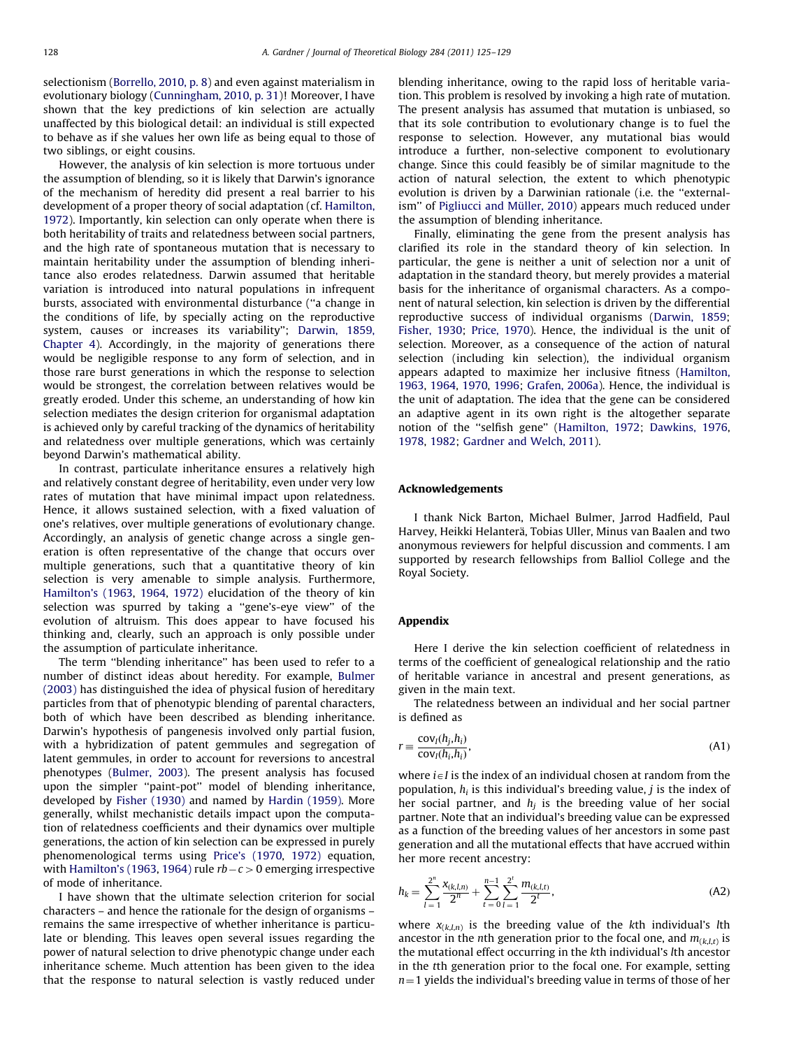selectionism ([Borrello, 2010, p. 8](#page-4-0)) and even against materialism in evolutionary biology ([Cunningham, 2010, p. 31](#page-4-0))! Moreover, I have shown that the key predictions of kin selection are actually unaffected by this biological detail: an individual is still expected to behave as if she values her own life as being equal to those of two siblings, or eight cousins.

However, the analysis of kin selection is more tortuous under the assumption of blending, so it is likely that Darwin's ignorance of the mechanism of heredity did present a real barrier to his development of a proper theory of social adaptation (cf. [Hamilton,](#page-4-0) [1972](#page-4-0)). Importantly, kin selection can only operate when there is both heritability of traits and relatedness between social partners, and the high rate of spontaneous mutation that is necessary to maintain heritability under the assumption of blending inheritance also erodes relatedness. Darwin assumed that heritable variation is introduced into natural populations in infrequent bursts, associated with environmental disturbance (''a change in the conditions of life, by specially acting on the reproductive system, causes or increases its variability''; [Darwin, 1859,](#page-4-0) [Chapter 4](#page-4-0)). Accordingly, in the majority of generations there would be negligible response to any form of selection, and in those rare burst generations in which the response to selection would be strongest, the correlation between relatives would be greatly eroded. Under this scheme, an understanding of how kin selection mediates the design criterion for organismal adaptation is achieved only by careful tracking of the dynamics of heritability and relatedness over multiple generations, which was certainly beyond Darwin's mathematical ability.

In contrast, particulate inheritance ensures a relatively high and relatively constant degree of heritability, even under very low rates of mutation that have minimal impact upon relatedness. Hence, it allows sustained selection, with a fixed valuation of one's relatives, over multiple generations of evolutionary change. Accordingly, an analysis of genetic change across a single generation is often representative of the change that occurs over multiple generations, such that a quantitative theory of kin selection is very amenable to simple analysis. Furthermore, [Hamilton's \(1963,](#page-4-0) [1964,](#page-4-0) [1972\)](#page-4-0) elucidation of the theory of kin selection was spurred by taking a ''gene's-eye view'' of the evolution of altruism. This does appear to have focused his thinking and, clearly, such an approach is only possible under the assumption of particulate inheritance.

The term ''blending inheritance'' has been used to refer to a number of distinct ideas about heredity. For example, [Bulmer](#page-4-0) [\(2003\)](#page-4-0) has distinguished the idea of physical fusion of hereditary particles from that of phenotypic blending of parental characters, both of which have been described as blending inheritance. Darwin's hypothesis of pangenesis involved only partial fusion, with a hybridization of patent gemmules and segregation of latent gemmules, in order to account for reversions to ancestral phenotypes [\(Bulmer, 2003\)](#page-4-0). The present analysis has focused upon the simpler ''paint-pot'' model of blending inheritance, developed by [Fisher \(1930\)](#page-4-0) and named by [Hardin \(1959\)](#page-4-0). More generally, whilst mechanistic details impact upon the computation of relatedness coefficients and their dynamics over multiple generations, the action of kin selection can be expressed in purely phenomenological terms using [Price's \(1970,](#page-4-0) [1972\)](#page-4-0) equation, with [Hamilton's \(1963,](#page-4-0) [1964\)](#page-4-0) rule  $rb$  –  $c$   $>$  0 emerging irrespective of mode of inheritance.

I have shown that the ultimate selection criterion for social characters – and hence the rationale for the design of organisms – remains the same irrespective of whether inheritance is particulate or blending. This leaves open several issues regarding the power of natural selection to drive phenotypic change under each inheritance scheme. Much attention has been given to the idea that the response to natural selection is vastly reduced under blending inheritance, owing to the rapid loss of heritable variation. This problem is resolved by invoking a high rate of mutation. The present analysis has assumed that mutation is unbiased, so that its sole contribution to evolutionary change is to fuel the response to selection. However, any mutational bias would introduce a further, non-selective component to evolutionary change. Since this could feasibly be of similar magnitude to the action of natural selection, the extent to which phenotypic evolution is driven by a Darwinian rationale (i.e. the ''externalism" of Pigliucci and Müller, 2010) appears much reduced under the assumption of blending inheritance.

Finally, eliminating the gene from the present analysis has clarified its role in the standard theory of kin selection. In particular, the gene is neither a unit of selection nor a unit of adaptation in the standard theory, but merely provides a material basis for the inheritance of organismal characters. As a component of natural selection, kin selection is driven by the differential reproductive success of individual organisms ([Darwin, 1859;](#page-4-0) [Fisher, 1930;](#page-4-0) [Price, 1970\)](#page-4-0). Hence, the individual is the unit of selection. Moreover, as a consequence of the action of natural selection (including kin selection), the individual organism appears adapted to maximize her inclusive fitness ([Hamilton,](#page-4-0) [1963,](#page-4-0) [1964](#page-4-0), [1970](#page-4-0), [1996](#page-4-0); [Grafen, 2006a](#page-4-0)). Hence, the individual is the unit of adaptation. The idea that the gene can be considered an adaptive agent in its own right is the altogether separate notion of the ''selfish gene'' ([Hamilton, 1972](#page-4-0); [Dawkins, 1976,](#page-4-0) [1978,](#page-4-0) [1982](#page-4-0); [Gardner and Welch, 2011\)](#page-4-0).

#### Acknowledgements

I thank Nick Barton, Michael Bulmer, Jarrod Hadfield, Paul Harvey, Heikki Helanterä, Tobias Uller, Minus van Baalen and two anonymous reviewers for helpful discussion and comments. I am supported by research fellowships from Balliol College and the Royal Society.

#### Appendix

Here I derive the kin selection coefficient of relatedness in terms of the coefficient of genealogical relationship and the ratio of heritable variance in ancestral and present generations, as given in the main text.

The relatedness between an individual and her social partner is defined as

$$
r = \frac{\text{cov}_l(h_j, h_l)}{\text{cov}_l(h_i, h_l)},\tag{A1}
$$

where  $i \in I$  is the index of an individual chosen at random from the population,  $h_i$  is this individual's breeding value, *j* is the index of her social partner, and  $h_i$  is the breeding value of her social partner. Note that an individual's breeding value can be expressed as a function of the breeding values of her ancestors in some past generation and all the mutational effects that have accrued within her more recent ancestry:

$$
h_k = \sum_{l=1}^{2^n} \frac{x_{(k,l,n)}}{2^n} + \sum_{t=0}^{n-1} \sum_{l=1}^{2^t} \frac{m_{(k,l,t)}}{2^t},
$$
 (A2)

where  $x_{(k,l,n)}$  is the breeding value of the kth individual's lth ancestor in the nth generation prior to the focal one, and  $m_{(k,l,t)}$  is the mutational effect occurring in the kth individual's lth ancestor in the tth generation prior to the focal one. For example, setting  $n=1$  yields the individual's breeding value in terms of those of her